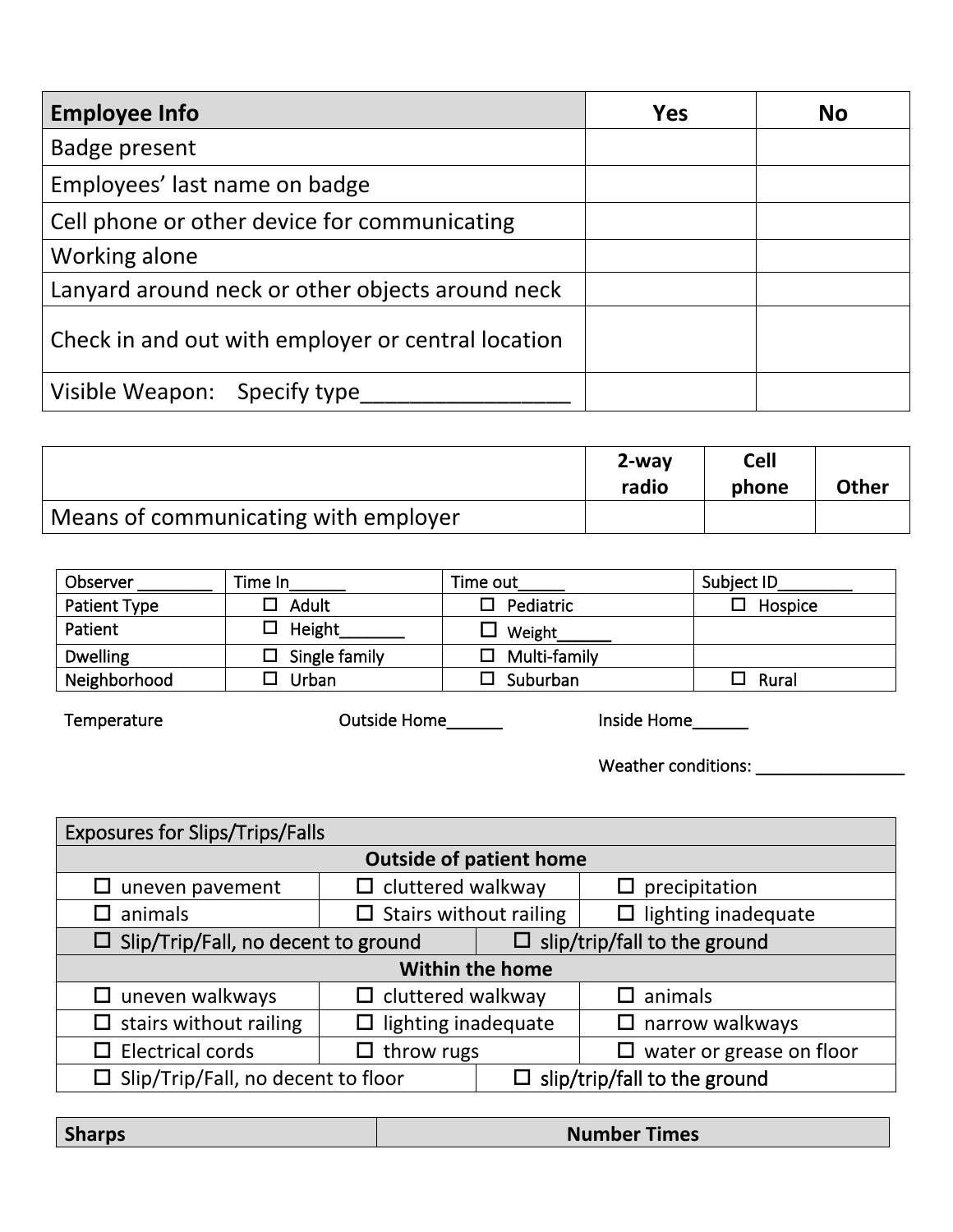| <b>Employee Info</b>                               | <b>Yes</b> | <b>No</b> |
|----------------------------------------------------|------------|-----------|
| Badge present                                      |            |           |
| Employees' last name on badge                      |            |           |
| Cell phone or other device for communicating       |            |           |
| Working alone                                      |            |           |
| Lanyard around neck or other objects around neck   |            |           |
| Check in and out with employer or central location |            |           |
| Visible Weapon: Specify type                       |            |           |

|                                      | $2$ -way<br>radio | <b>Cell</b><br>phone | <b>Other</b> |
|--------------------------------------|-------------------|----------------------|--------------|
| Means of communicating with employer |                   |                      |              |

| Observer        | Time In       | Time out            | Subject ID |
|-----------------|---------------|---------------------|------------|
| Patient Type    | Adult         | Pediatric<br>П      | Hospice    |
| Patient         | Height        | Weight              |            |
| <b>Dwelling</b> | Single family | $\Box$ Multi-family |            |
| Neighborhood    | Urban         | Suburban            | Rural      |

**Temperature Outside Home\_\_\_\_\_\_ Inside Home\_\_\_\_\_\_**

**Weather conditions: \_\_\_\_\_\_\_\_\_\_\_\_\_\_\_\_**

|                                                                                          | <b>Exposures for Slips/Trips/Falls</b> |                                                                                             |  |  |
|------------------------------------------------------------------------------------------|----------------------------------------|---------------------------------------------------------------------------------------------|--|--|
|                                                                                          |                                        |                                                                                             |  |  |
|                                                                                          |                                        | precipitation<br>$\Box$                                                                     |  |  |
|                                                                                          |                                        | lighting inadequate<br>□                                                                    |  |  |
| $\Box$ slip/trip/fall to the ground<br>$\Box$ Slip/Trip/Fall, no decent to ground        |                                        |                                                                                             |  |  |
| <b>Within the home</b>                                                                   |                                        |                                                                                             |  |  |
| $\Box$ cluttered walkway<br>$\Box$ uneven walkways                                       |                                        | $\Box$ animals                                                                              |  |  |
| $\Box$ lighting inadequate<br>$\Box$ stairs without railing<br>narrow walkways<br>$\Box$ |                                        |                                                                                             |  |  |
| $\Box$ Electrical cords<br>$\Box$ throw rugs<br>$\Box$                                   |                                        | water or grease on floor                                                                    |  |  |
| $\Box$ Slip/Trip/Fall, no decent to floor                                                |                                        | $\Box$ slip/trip/fall to the ground                                                         |  |  |
|                                                                                          |                                        | <b>Outside of patient home</b><br>$\Box$ cluttered walkway<br>$\Box$ Stairs without railing |  |  |

|  | <b>Sharps</b> | <b>Times</b><br><b>Number</b> |
|--|---------------|-------------------------------|
|--|---------------|-------------------------------|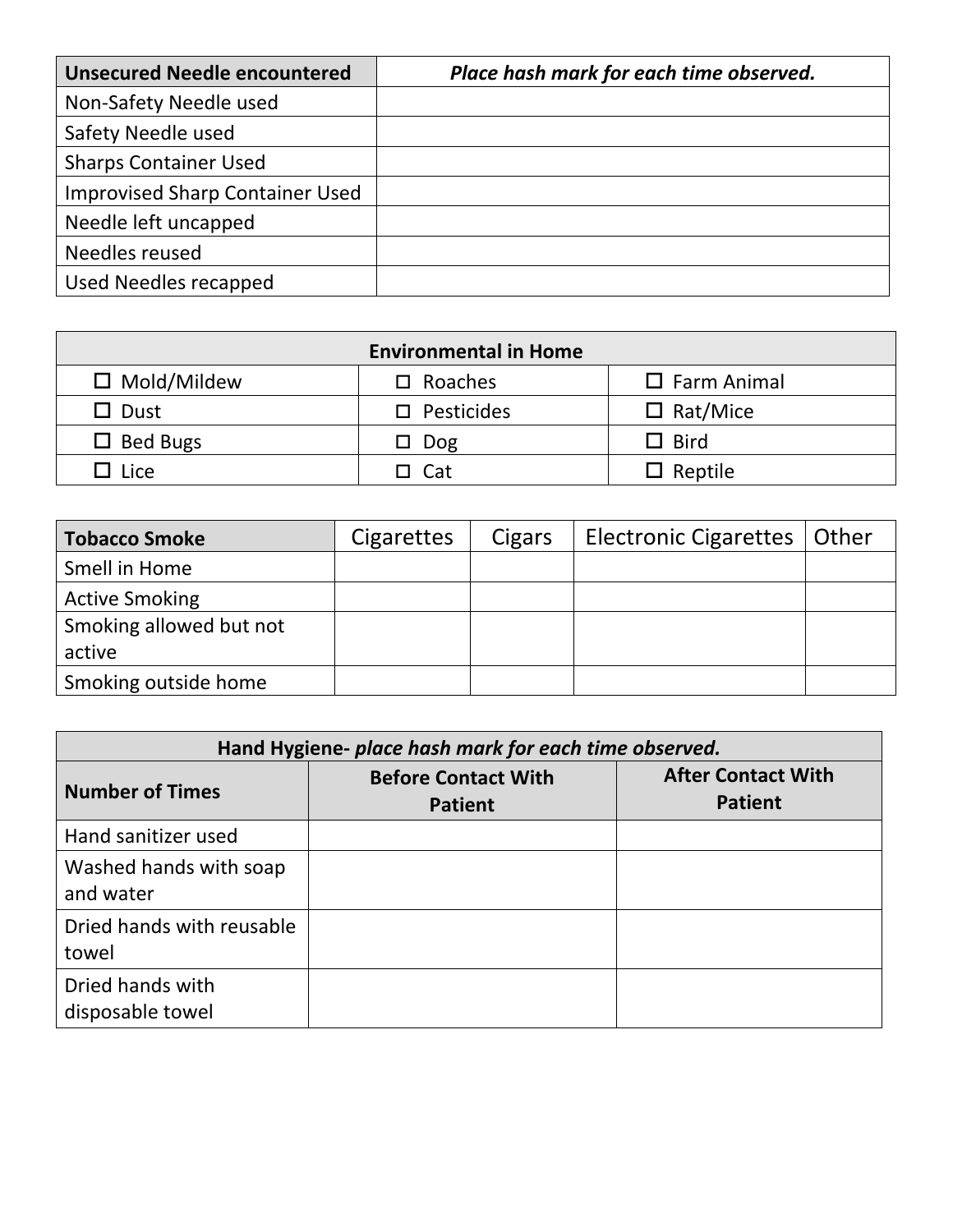| <b>Unsecured Needle encountered</b>    | Place hash mark for each time observed. |
|----------------------------------------|-----------------------------------------|
| Non-Safety Needle used                 |                                         |
| Safety Needle used                     |                                         |
| <b>Sharps Container Used</b>           |                                         |
| <b>Improvised Sharp Container Used</b> |                                         |
| Needle left uncapped                   |                                         |
| Needles reused                         |                                         |
| Used Needles recapped                  |                                         |

| <b>Environmental in Home</b>                                     |                      |                 |  |  |
|------------------------------------------------------------------|----------------------|-----------------|--|--|
| $\square$ Mold/Mildew<br>$\Box$ Farm Animal<br>$\square$ Roaches |                      |                 |  |  |
| $\Box$ Dust                                                      | $\square$ Pesticides | $\Box$ Rat/Mice |  |  |
| $\Box$ Bed Bugs                                                  | $\Box$ Dog           | $\Box$ Bird     |  |  |
| $\Box$ Lice                                                      | $\Box$ Cat           | $\Box$ Reptile  |  |  |

| <b>Tobacco Smoke</b>    | <b>Cigarettes</b> | Cigars | Electronic Cigarettes   Other |  |
|-------------------------|-------------------|--------|-------------------------------|--|
| Smell in Home           |                   |        |                               |  |
| <b>Active Smoking</b>   |                   |        |                               |  |
| Smoking allowed but not |                   |        |                               |  |
| active                  |                   |        |                               |  |
| Smoking outside home    |                   |        |                               |  |

| Hand Hygiene- place hash mark for each time observed. |                                              |                                             |  |  |
|-------------------------------------------------------|----------------------------------------------|---------------------------------------------|--|--|
| <b>Number of Times</b>                                | <b>Before Contact With</b><br><b>Patient</b> | <b>After Contact With</b><br><b>Patient</b> |  |  |
| Hand sanitizer used                                   |                                              |                                             |  |  |
| Washed hands with soap<br>and water                   |                                              |                                             |  |  |
| Dried hands with reusable<br>towel                    |                                              |                                             |  |  |
| Dried hands with<br>disposable towel                  |                                              |                                             |  |  |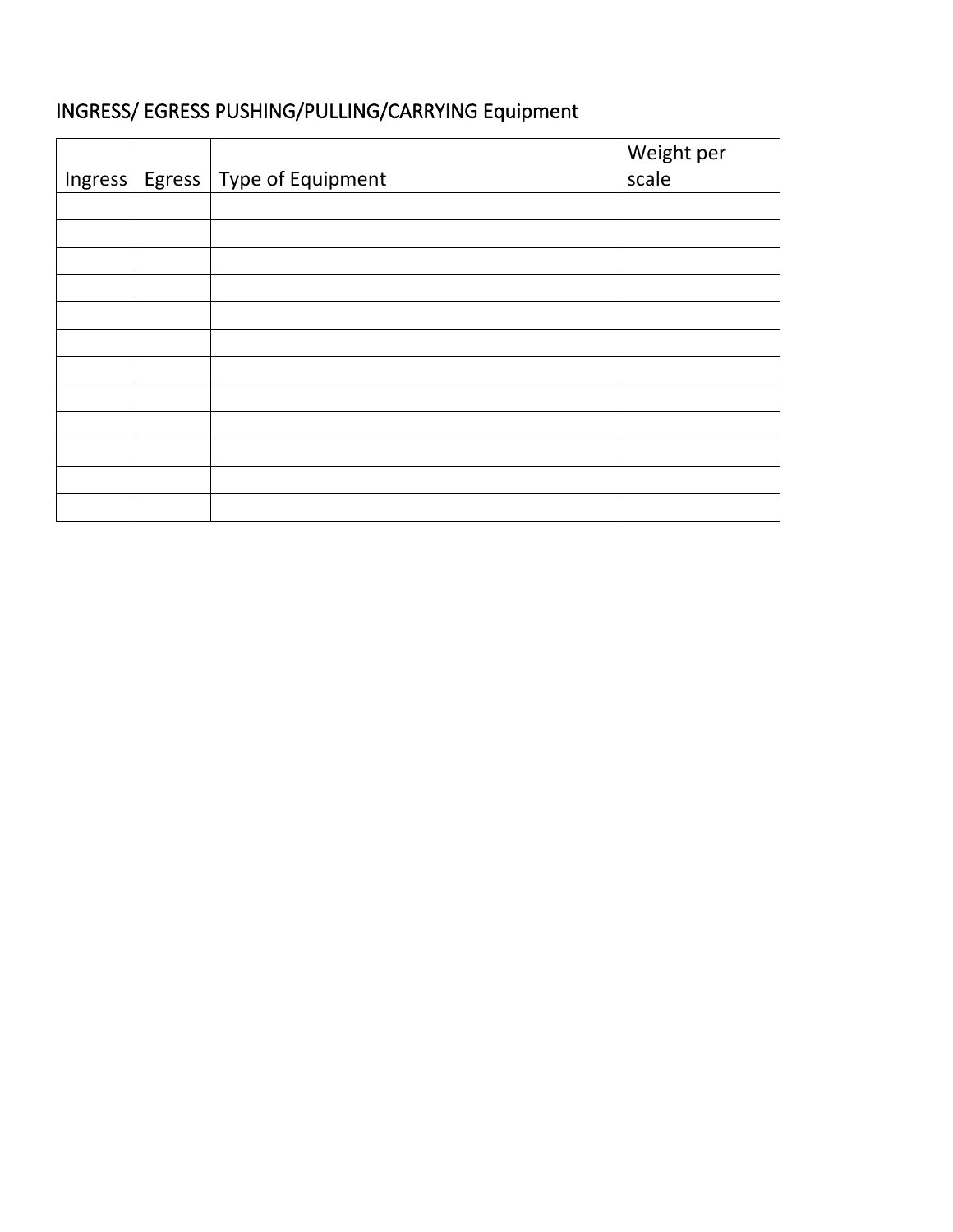## **INGRESS/ EGRESS PUSHING/PULLING/CARRYING Equipment**

| Ingress | Egress   Type of Equipment | Weight per<br>scale |
|---------|----------------------------|---------------------|
|         |                            |                     |
|         |                            |                     |
|         |                            |                     |
|         |                            |                     |
|         |                            |                     |
|         |                            |                     |
|         |                            |                     |
|         |                            |                     |
|         |                            |                     |
|         |                            |                     |
|         |                            |                     |
|         |                            |                     |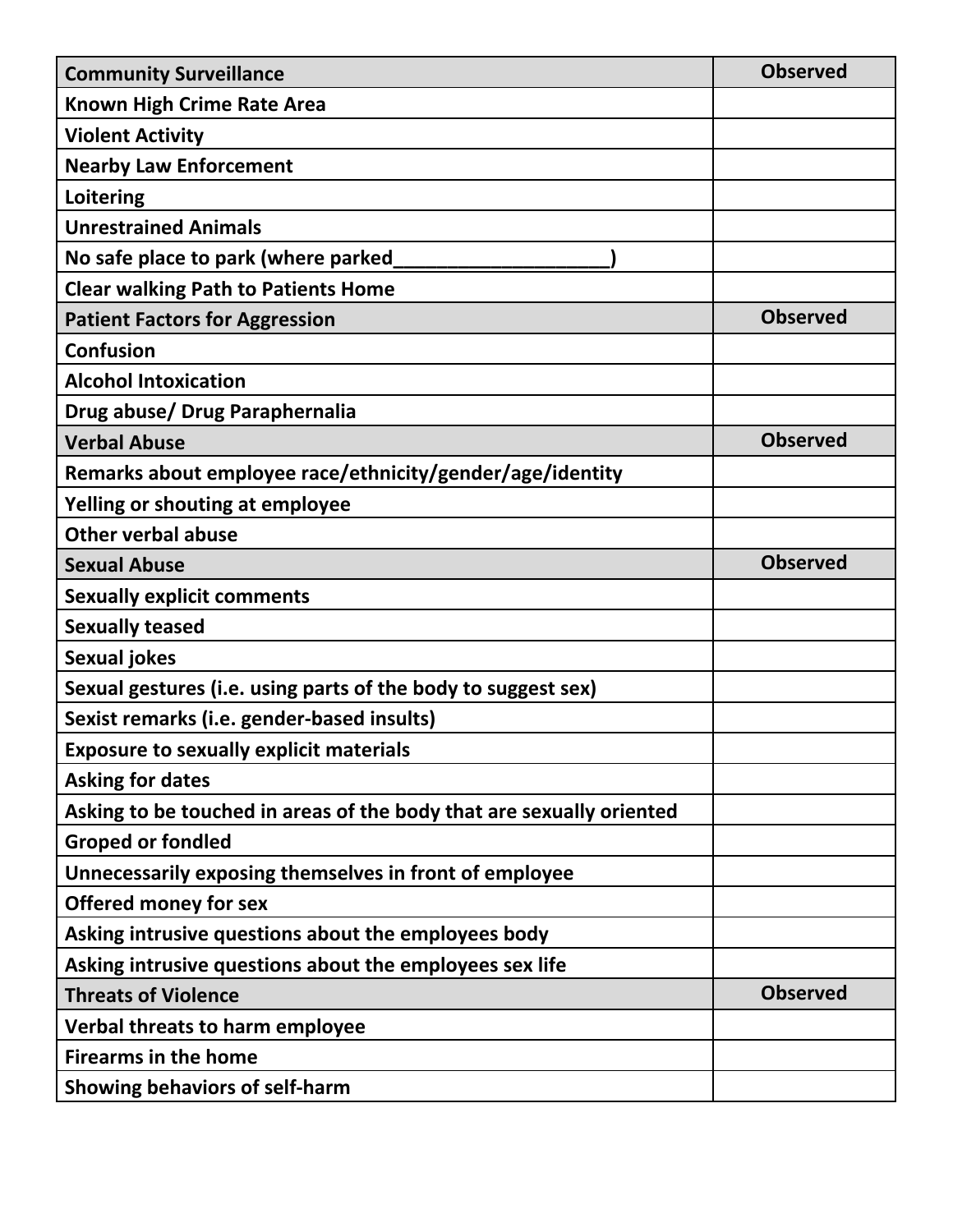| <b>Community Surveillance</b>                                        | <b>Observed</b> |
|----------------------------------------------------------------------|-----------------|
| <b>Known High Crime Rate Area</b>                                    |                 |
| <b>Violent Activity</b>                                              |                 |
| <b>Nearby Law Enforcement</b>                                        |                 |
| Loitering                                                            |                 |
| <b>Unrestrained Animals</b>                                          |                 |
| No safe place to park (where parked                                  |                 |
| <b>Clear walking Path to Patients Home</b>                           |                 |
| <b>Patient Factors for Aggression</b>                                | <b>Observed</b> |
| <b>Confusion</b>                                                     |                 |
| <b>Alcohol Intoxication</b>                                          |                 |
| Drug abuse/ Drug Paraphernalia                                       |                 |
| <b>Verbal Abuse</b>                                                  | <b>Observed</b> |
| Remarks about employee race/ethnicity/gender/age/identity            |                 |
| Yelling or shouting at employee                                      |                 |
| <b>Other verbal abuse</b>                                            |                 |
| <b>Sexual Abuse</b>                                                  | <b>Observed</b> |
| <b>Sexually explicit comments</b>                                    |                 |
| <b>Sexually teased</b>                                               |                 |
| <b>Sexual jokes</b>                                                  |                 |
| Sexual gestures (i.e. using parts of the body to suggest sex)        |                 |
| Sexist remarks (i.e. gender-based insults)                           |                 |
| <b>Exposure to sexually explicit materials</b>                       |                 |
| <b>Asking for dates</b>                                              |                 |
| Asking to be touched in areas of the body that are sexually oriented |                 |
| <b>Groped or fondled</b>                                             |                 |
| Unnecessarily exposing themselves in front of employee               |                 |
| <b>Offered money for sex</b>                                         |                 |
| Asking intrusive questions about the employees body                  |                 |
| Asking intrusive questions about the employees sex life              |                 |
| <b>Threats of Violence</b>                                           | <b>Observed</b> |
| Verbal threats to harm employee                                      |                 |
| <b>Firearms in the home</b>                                          |                 |
| <b>Showing behaviors of self-harm</b>                                |                 |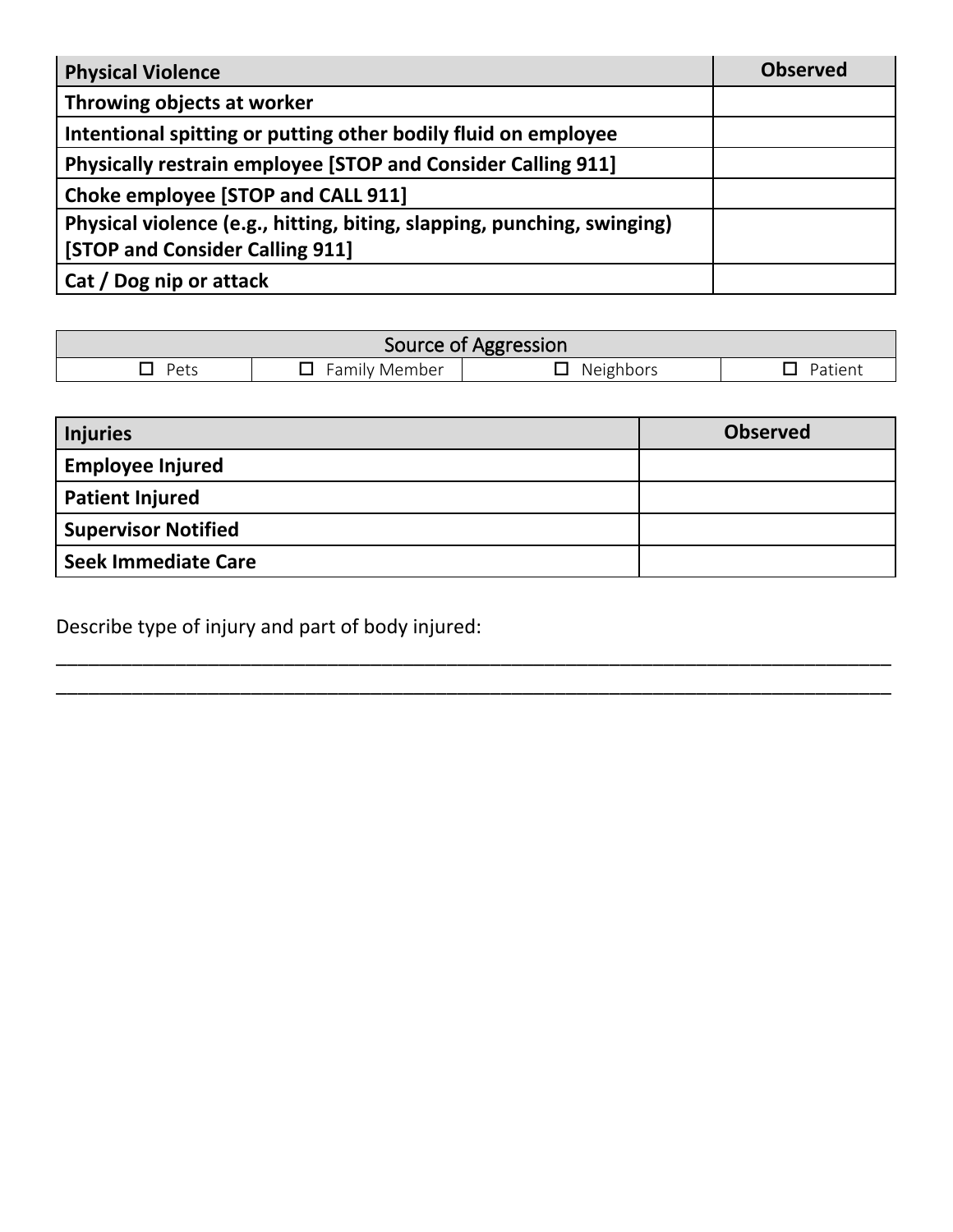| <b>Physical Violence</b>                                                                                   | <b>Observed</b> |
|------------------------------------------------------------------------------------------------------------|-----------------|
| Throwing objects at worker                                                                                 |                 |
| Intentional spitting or putting other bodily fluid on employee                                             |                 |
| <b>Physically restrain employee [STOP and Consider Calling 911]</b>                                        |                 |
| Choke employee [STOP and CALL 911]                                                                         |                 |
| Physical violence (e.g., hitting, biting, slapping, punching, swinging)<br>[STOP and Consider Calling 911] |                 |
| Cat / Dog nip or attack                                                                                    |                 |

| Source of Aggression |               |           |         |  |  |  |  |  |  |
|----------------------|---------------|-----------|---------|--|--|--|--|--|--|
| Pets                 | Family Member | Neighbors | Patienu |  |  |  |  |  |  |

| <b>Injuries</b>            | <b>Observed</b> |
|----------------------------|-----------------|
| <b>Employee Injured</b>    |                 |
| <b>Patient Injured</b>     |                 |
| <b>Supervisor Notified</b> |                 |
| <b>Seek Immediate Care</b> |                 |

\_\_\_\_\_\_\_\_\_\_\_\_\_\_\_\_\_\_\_\_\_\_\_\_\_\_\_\_\_\_\_\_\_\_\_\_\_\_\_\_\_\_\_\_\_\_\_\_\_\_\_\_\_\_\_\_\_\_\_\_\_\_\_\_\_\_\_\_\_\_\_\_\_\_\_\_\_

\_\_\_\_\_\_\_\_\_\_\_\_\_\_\_\_\_\_\_\_\_\_\_\_\_\_\_\_\_\_\_\_\_\_\_\_\_\_\_\_\_\_\_\_\_\_\_\_\_\_\_\_\_\_\_\_\_\_\_\_\_\_\_\_\_\_\_\_\_\_\_\_\_\_\_\_\_

Describe type of injury and part of body injured: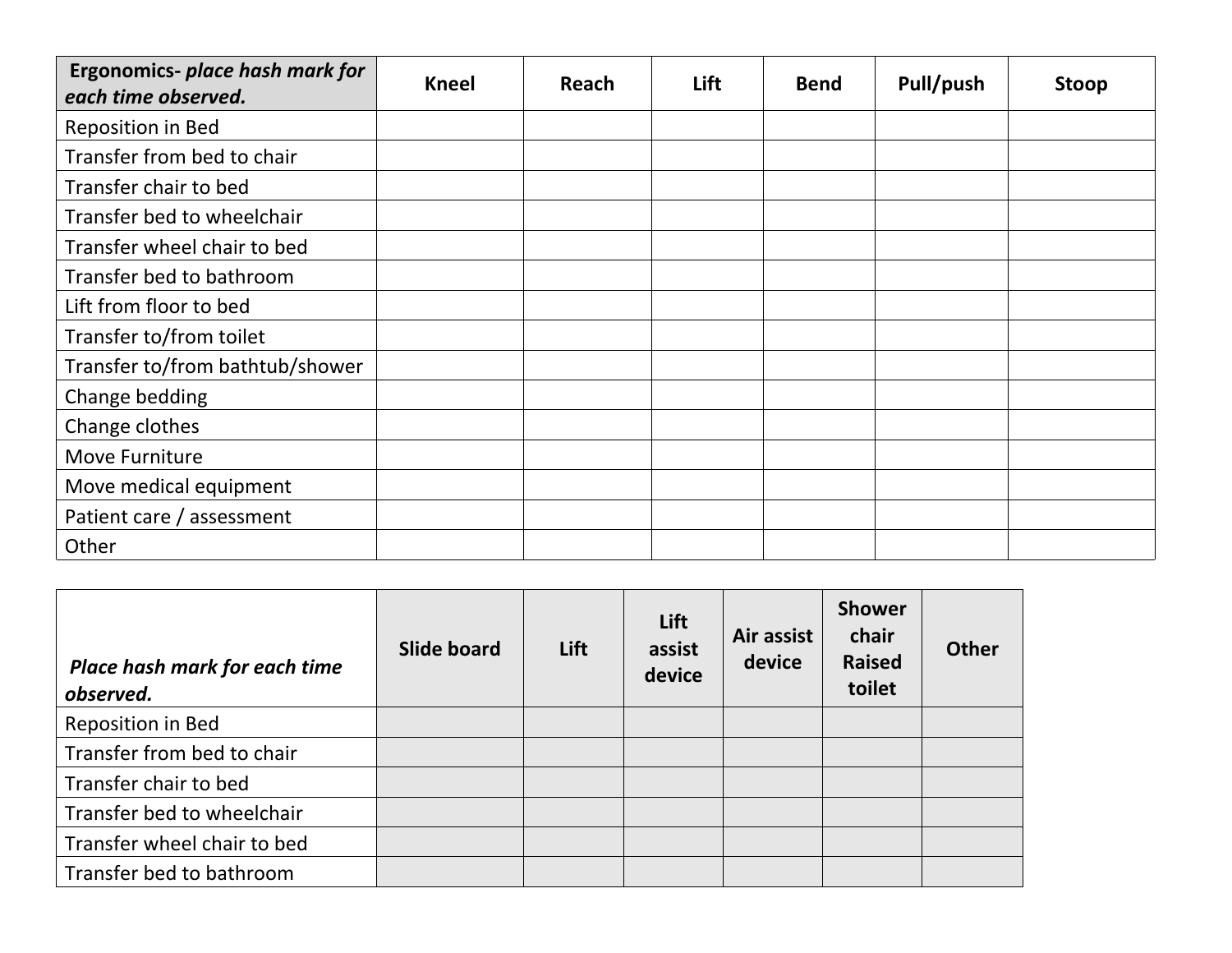| Ergonomics- place hash mark for<br>each time observed. | <b>Kneel</b> | Reach | Lift | <b>Bend</b> | Pull/push | Stoop |
|--------------------------------------------------------|--------------|-------|------|-------------|-----------|-------|
| Reposition in Bed                                      |              |       |      |             |           |       |
| Transfer from bed to chair                             |              |       |      |             |           |       |
| Transfer chair to bed                                  |              |       |      |             |           |       |
| Transfer bed to wheelchair                             |              |       |      |             |           |       |
| Transfer wheel chair to bed                            |              |       |      |             |           |       |
| Transfer bed to bathroom                               |              |       |      |             |           |       |
| Lift from floor to bed                                 |              |       |      |             |           |       |
| Transfer to/from toilet                                |              |       |      |             |           |       |
| Transfer to/from bathtub/shower                        |              |       |      |             |           |       |
| Change bedding                                         |              |       |      |             |           |       |
| Change clothes                                         |              |       |      |             |           |       |
| Move Furniture                                         |              |       |      |             |           |       |
| Move medical equipment                                 |              |       |      |             |           |       |
| Patient care / assessment                              |              |       |      |             |           |       |
| Other                                                  |              |       |      |             |           |       |

| Place hash mark for each time<br>observed. | Slide board | Lift | Lift<br>assist<br>device | Air assist<br>device | <b>Shower</b><br>chair<br><b>Raised</b><br>toilet | <b>Other</b> |
|--------------------------------------------|-------------|------|--------------------------|----------------------|---------------------------------------------------|--------------|
| Reposition in Bed                          |             |      |                          |                      |                                                   |              |
| Transfer from bed to chair                 |             |      |                          |                      |                                                   |              |
| Transfer chair to bed                      |             |      |                          |                      |                                                   |              |
| Transfer bed to wheelchair                 |             |      |                          |                      |                                                   |              |
| Transfer wheel chair to bed                |             |      |                          |                      |                                                   |              |
| Transfer bed to bathroom                   |             |      |                          |                      |                                                   |              |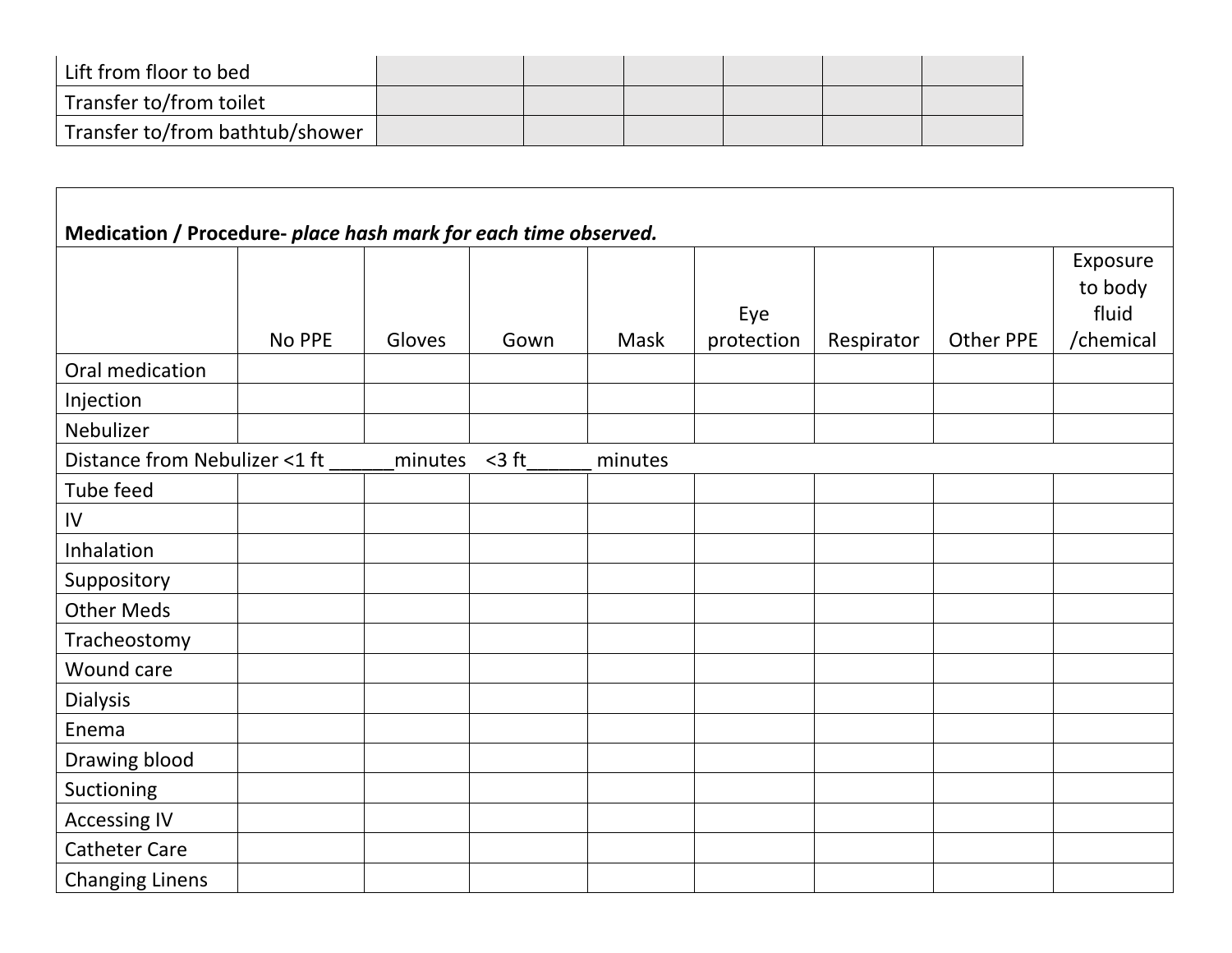| Lift from floor to bed               |  |  |  |
|--------------------------------------|--|--|--|
| <sup>1</sup> Transfer to/from toilet |  |  |  |
| Transfer to/from bathtub/shower      |  |  |  |

|                               | Medication / Procedure- place hash mark for each time observed. |         |          |         |                   |            |                  |                                           |  |  |
|-------------------------------|-----------------------------------------------------------------|---------|----------|---------|-------------------|------------|------------------|-------------------------------------------|--|--|
|                               | No PPE                                                          | Gloves  | Gown     | Mask    | Eye<br>protection | Respirator | <b>Other PPE</b> | Exposure<br>to body<br>fluid<br>/chemical |  |  |
| Oral medication               |                                                                 |         |          |         |                   |            |                  |                                           |  |  |
| Injection                     |                                                                 |         |          |         |                   |            |                  |                                           |  |  |
| Nebulizer                     |                                                                 |         |          |         |                   |            |                  |                                           |  |  |
| Distance from Nebulizer <1 ft |                                                                 | minutes | $<$ 3 ft | minutes |                   |            |                  |                                           |  |  |
| Tube feed                     |                                                                 |         |          |         |                   |            |                  |                                           |  |  |
| IV                            |                                                                 |         |          |         |                   |            |                  |                                           |  |  |
| Inhalation                    |                                                                 |         |          |         |                   |            |                  |                                           |  |  |
| Suppository                   |                                                                 |         |          |         |                   |            |                  |                                           |  |  |
| <b>Other Meds</b>             |                                                                 |         |          |         |                   |            |                  |                                           |  |  |
| Tracheostomy                  |                                                                 |         |          |         |                   |            |                  |                                           |  |  |
| Wound care                    |                                                                 |         |          |         |                   |            |                  |                                           |  |  |
| <b>Dialysis</b>               |                                                                 |         |          |         |                   |            |                  |                                           |  |  |
| Enema                         |                                                                 |         |          |         |                   |            |                  |                                           |  |  |
| Drawing blood                 |                                                                 |         |          |         |                   |            |                  |                                           |  |  |
| Suctioning                    |                                                                 |         |          |         |                   |            |                  |                                           |  |  |
| <b>Accessing IV</b>           |                                                                 |         |          |         |                   |            |                  |                                           |  |  |
| <b>Catheter Care</b>          |                                                                 |         |          |         |                   |            |                  |                                           |  |  |
| <b>Changing Linens</b>        |                                                                 |         |          |         |                   |            |                  |                                           |  |  |